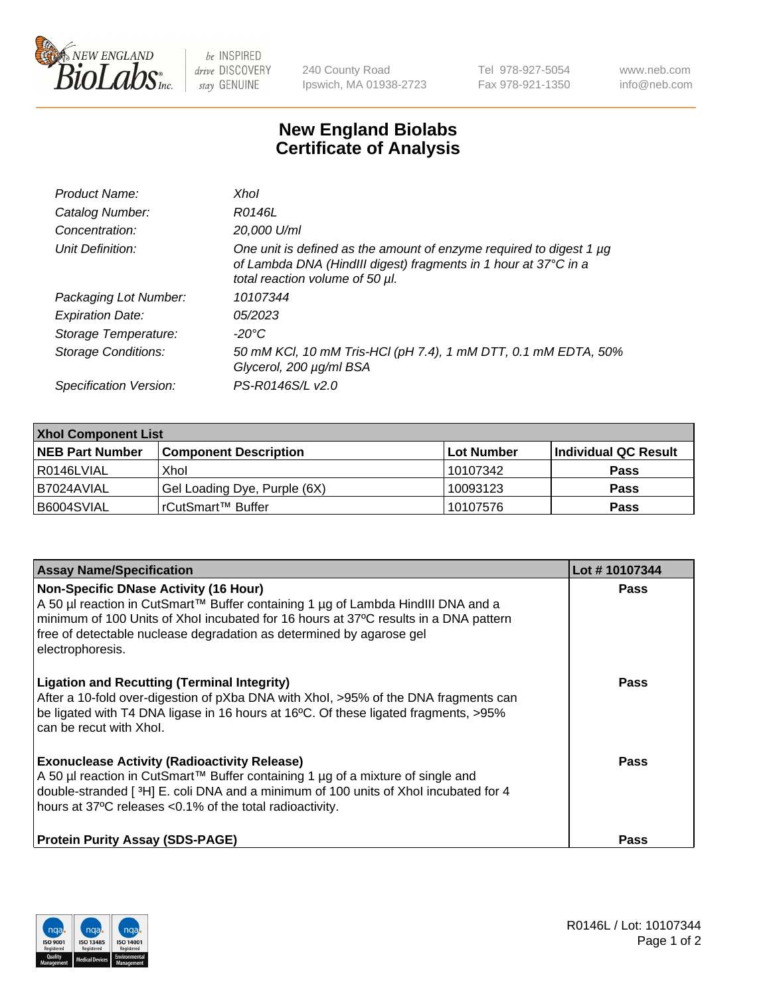

 $be$  INSPIRED drive DISCOVERY stay GENUINE

240 County Road Ipswich, MA 01938-2723 Tel 978-927-5054 Fax 978-921-1350 www.neb.com info@neb.com

## **New England Biolabs Certificate of Analysis**

| Product Name:           | Xhol                                                                                                                                                                      |
|-------------------------|---------------------------------------------------------------------------------------------------------------------------------------------------------------------------|
| Catalog Number:         | R0146L                                                                                                                                                                    |
| Concentration:          | 20,000 U/ml                                                                                                                                                               |
| Unit Definition:        | One unit is defined as the amount of enzyme required to digest 1 µg<br>of Lambda DNA (HindIII digest) fragments in 1 hour at 37°C in a<br>total reaction volume of 50 µl. |
| Packaging Lot Number:   | 10107344                                                                                                                                                                  |
| <b>Expiration Date:</b> | 05/2023                                                                                                                                                                   |
| Storage Temperature:    | -20°C                                                                                                                                                                     |
| Storage Conditions:     | 50 mM KCl, 10 mM Tris-HCl (pH 7.4), 1 mM DTT, 0.1 mM EDTA, 50%<br>Glycerol, 200 µg/ml BSA                                                                                 |
| Specification Version:  | PS-R0146S/L v2.0                                                                                                                                                          |

| <b>Xhol Component List</b> |                              |             |                      |  |  |
|----------------------------|------------------------------|-------------|----------------------|--|--|
| <b>NEB Part Number</b>     | <b>Component Description</b> | ∣Lot Number | Individual QC Result |  |  |
| R0146LVIAL                 | Xhol                         | 10107342    | <b>Pass</b>          |  |  |
| IB7024AVIAL                | Gel Loading Dye, Purple (6X) | 10093123    | <b>Pass</b>          |  |  |
| B6004SVIAL                 | rCutSmart™ Buffer            | 10107576    | <b>Pass</b>          |  |  |

| <b>Assay Name/Specification</b>                                                                                                                                                                                                                                                                                      | Lot #10107344 |
|----------------------------------------------------------------------------------------------------------------------------------------------------------------------------------------------------------------------------------------------------------------------------------------------------------------------|---------------|
| <b>Non-Specific DNase Activity (16 Hour)</b><br>A 50 µl reaction in CutSmart™ Buffer containing 1 µg of Lambda HindIII DNA and a<br>minimum of 100 Units of Xhol incubated for 16 hours at 37°C results in a DNA pattern<br>free of detectable nuclease degradation as determined by agarose gel<br>electrophoresis. | <b>Pass</b>   |
| <b>Ligation and Recutting (Terminal Integrity)</b><br>After a 10-fold over-digestion of pXba DNA with Xhol, >95% of the DNA fragments can<br>be ligated with T4 DNA ligase in 16 hours at 16°C. Of these ligated fragments, >95%<br>can be recut with Xhol.                                                          | Pass          |
| <b>Exonuclease Activity (Radioactivity Release)</b><br>A 50 µl reaction in CutSmart™ Buffer containing 1 µg of a mixture of single and<br>double-stranded [3H] E. coli DNA and a minimum of 100 units of Xhol incubated for 4<br>hours at 37°C releases <0.1% of the total radioactivity.                            | Pass          |
| <b>Protein Purity Assay (SDS-PAGE)</b>                                                                                                                                                                                                                                                                               | <b>Pass</b>   |